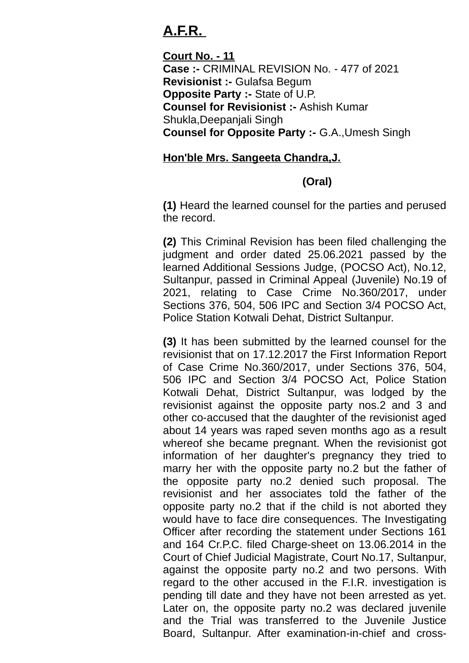## **A.F.R.**

**Court No. - 11 Case :-** CRIMINAL REVISION No. - 477 of 2021 **Revisionist :-** Gulafsa Begum **Opposite Party :-** State of U.P. **Counsel for Revisionist :-** Ashish Kumar Shukla,Deepanjali Singh **Counsel for Opposite Party :-** G.A.,Umesh Singh

## **Hon'ble Mrs. Sangeeta Chandra,J.**

## **(Oral)**

**(1)** Heard the learned counsel for the parties and perused the record.

**(2)** This Criminal Revision has been filed challenging the judgment and order dated 25.06.2021 passed by the learned Additional Sessions Judge, (POCSO Act), No.12, Sultanpur, passed in Criminal Appeal (Juvenile) No.19 of 2021, relating to Case Crime No.360/2017, under Sections 376, 504, 506 IPC and Section 3/4 POCSO Act, Police Station Kotwali Dehat, District Sultanpur.

**(3)** It has been submitted by the learned counsel for the revisionist that on 17.12.2017 the First Information Report of Case Crime No.360/2017, under Sections 376, 504, 506 IPC and Section 3/4 POCSO Act, Police Station Kotwali Dehat, District Sultanpur, was lodged by the revisionist against the opposite party nos.2 and 3 and other co-accused that the daughter of the revisionist aged about 14 years was raped seven months ago as a result whereof she became pregnant. When the revisionist got information of her daughter's pregnancy they tried to marry her with the opposite party no.2 but the father of the opposite party no.2 denied such proposal. The revisionist and her associates told the father of the opposite party no.2 that if the child is not aborted they would have to face dire consequences. The Investigating Officer after recording the statement under Sections 161 and 164 Cr.P.C. filed Charge-sheet on 13.06.2014 in the Court of Chief Judicial Magistrate, Court No.17, Sultanpur, against the opposite party no.2 and two persons. With regard to the other accused in the F.I.R. investigation is pending till date and they have not been arrested as yet. Later on, the opposite party no.2 was declared juvenile and the Trial was transferred to the Juvenile Justice Board, Sultanpur. After examination-in-chief and cross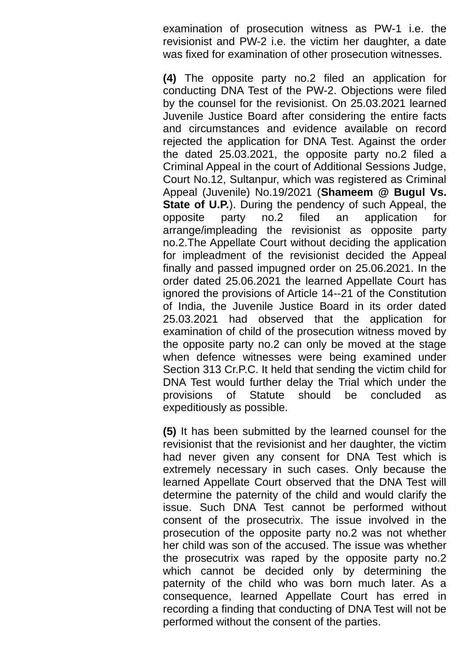examination of prosecution witness as PW-1 i.e. the revisionist and PW-2 i.e. the victim her daughter, a date was fixed for examination of other prosecution witnesses.

**(4)** The opposite party no.2 filed an application for conducting DNA Test of the PW-2. Objections were filed by the counsel for the revisionist. On 25.03.2021 learned Juvenile Justice Board after considering the entire facts and circumstances and evidence available on record rejected the application for DNA Test. Against the order the dated 25.03.2021, the opposite party no.2 filed a Criminal Appeal in the court of Additional Sessions Judge, Court No.12, Sultanpur, which was registered as Criminal Appeal (Juvenile) No.19/2021 (**Shameem @ Bugul Vs. State of U.P.**). During the pendency of such Appeal, the opposite party no.2 filed an application for arrange/impleading the revisionist as opposite party no.2.The Appellate Court without deciding the application for impleadment of the revisionist decided the Appeal finally and passed impugned order on 25.06.2021. In the order dated 25.06.2021 the learned Appellate Court has ignored the provisions of Article 14--21 of the Constitution of India, the Juvenile Justice Board in its order dated 25.03.2021 had observed that the application for examination of child of the prosecution witness moved by the opposite party no.2 can only be moved at the stage when defence witnesses were being examined under Section 313 Cr.P.C. It held that sending the victim child for DNA Test would further delay the Trial which under the provisions of Statute should be concluded as expeditiously as possible.

**(5)** It has been submitted by the learned counsel for the revisionist that the revisionist and her daughter, the victim had never given any consent for DNA Test which is extremely necessary in such cases. Only because the learned Appellate Court observed that the DNA Test will determine the paternity of the child and would clarify the issue. Such DNA Test cannot be performed without consent of the prosecutrix. The issue involved in the prosecution of the opposite party no.2 was not whether her child was son of the accused. The issue was whether the prosecutrix was raped by the opposite party no.2 which cannot be decided only by determining the paternity of the child who was born much later. As a consequence, learned Appellate Court has erred in recording a finding that conducting of DNA Test will not be performed without the consent of the parties.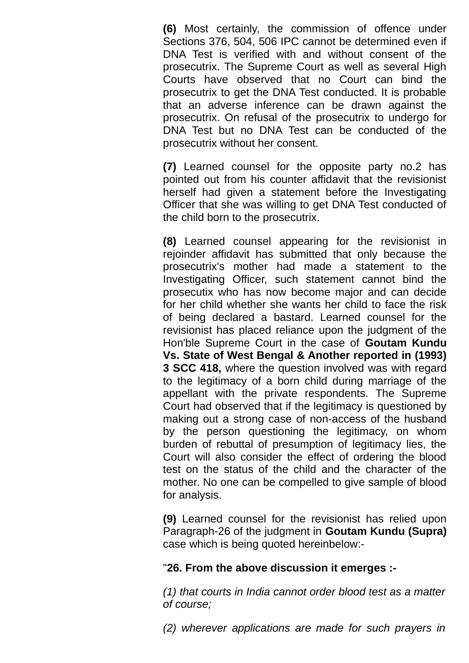**(6)** Most certainly, the commission of offence under Sections 376, 504, 506 IPC cannot be determined even if DNA Test is verified with and without consent of the prosecutrix. The Supreme Court as well as several High Courts have observed that no Court can bind the prosecutrix to get the DNA Test conducted. It is probable that an adverse inference can be drawn against the prosecutrix. On refusal of the prosecutrix to undergo for DNA Test but no DNA Test can be conducted of the prosecutrix without her consent.

**(7)** Learned counsel for the opposite party no.2 has pointed out from his counter affidavit that the revisionist herself had given a statement before the Investigating Officer that she was willing to get DNA Test conducted of the child born to the prosecutrix.

**(8)** Learned counsel appearing for the revisionist in rejoinder affidavit has submitted that only because the prosecutrix's mother had made a statement to the Investigating Officer, such statement cannot bind the prosecutix who has now become major and can decide for her child whether she wants her child to face the risk of being declared a bastard. Learned counsel for the revisionist has placed reliance upon the judgment of the Hon'ble Supreme Court in the case of **Goutam Kundu Vs. State of West Bengal & Another reported in (1993) 3 SCC 418,** where the question involved was with regard to the legitimacy of a born child during marriage of the appellant with the private respondents. The Supreme Court had observed that if the legitimacy is questioned by making out a strong case of non-access of the husband by the person questioning the legitimacy, on whom burden of rebuttal of presumption of legitimacy lies, the Court will also consider the effect of ordering the blood test on the status of the child and the character of the mother. No one can be compelled to give sample of blood for analysis.

**(9)** Learned counsel for the revisionist has relied upon Paragraph-26 of the judgment in **Goutam Kundu (Supra)** case which is being quoted hereinbelow:-

## "**26. From the above discussion it emerges :-**

*(1) that courts in India cannot order blood test as a matter of course;*

*(2) wherever applications are made for such prayers in*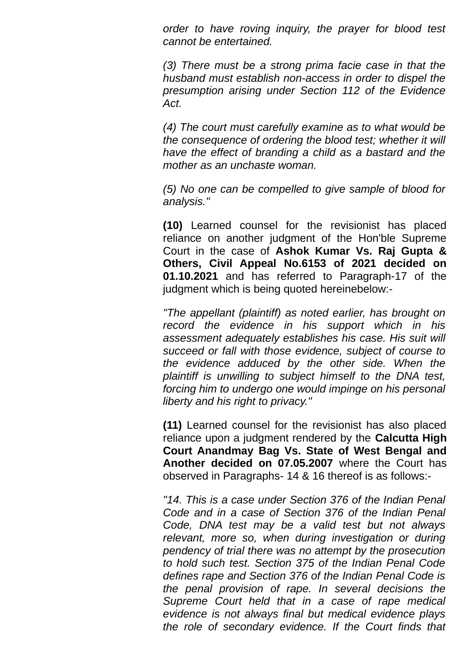*order to have roving inquiry, the prayer for blood test cannot be entertained.*

*(3) There must be a strong prima facie case in that the husband must establish non-access in order to dispel the presumption arising under Section 112 of the Evidence Act.*

*(4) The court must carefully examine as to what would be the consequence of ordering the blood test; whether it will have the effect of branding a child as a bastard and the mother as an unchaste woman.*

*(5) No one can be compelled to give sample of blood for analysis."*

**(10)** Learned counsel for the revisionist has placed reliance on another judgment of the Hon'ble Supreme Court in the case of **Ashok Kumar Vs. Raj Gupta & Others, Civil Appeal No.6153 of 2021 decided on 01.10.2021** and has referred to Paragraph-17 of the judgment which is being quoted hereinebelow:-

*"The appellant (plaintiff) as noted earlier, has brought on record the evidence in his support which in his assessment adequately establishes his case. His suit will succeed or fall with those evidence, subject of course to the evidence adduced by the other side. When the plaintiff is unwilling to subject himself to the DNA test, forcing him to undergo one would impinge on his personal liberty and his right to privacy."*

**(11)** Learned counsel for the revisionist has also placed reliance upon a judgment rendered by the **Calcutta High Court Anandmay Bag Vs. State of West Bengal and Another decided on 07.05.2007** where the Court has observed in Paragraphs- 14 & 16 thereof is as follows:-

*"14. This is a case under Section 376 of the Indian Penal Code and in a case of Section 376 of the Indian Penal Code, DNA test may be a valid test but not always relevant, more so, when during investigation or during pendency of trial there was no attempt by the prosecution to hold such test. Section 375 of the Indian Penal Code defines rape and Section 376 of the Indian Penal Code is the penal provision of rape. In several decisions the Supreme Court held that in a case of rape medical evidence is not always final but medical evidence plays the role of secondary evidence. If the Court finds that*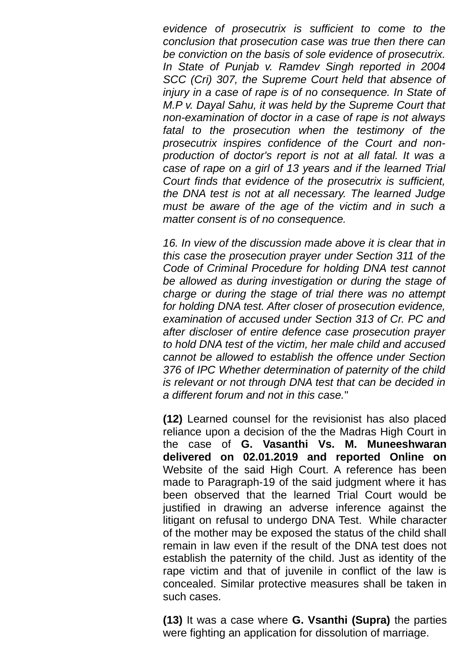*evidence of prosecutrix is sufficient to come to the conclusion that prosecution case was true then there can be conviction on the basis of sole evidence of prosecutrix. In State of Punjab v. Ramdev Singh reported in 2004 SCC (Cri) 307, the Supreme Court held that absence of injury in a case of rape is of no consequence. In State of M.P v. Dayal Sahu, it was held by the Supreme Court that non-examination of doctor in a case of rape is not always fatal to the prosecution when the testimony of the prosecutrix inspires confidence of the Court and nonproduction of doctor's report is not at all fatal. It was a case of rape on a girl of 13 years and if the learned Trial Court finds that evidence of the prosecutrix is sufficient, the DNA test is not at all necessary. The learned Judge must be aware of the age of the victim and in such a matter consent is of no consequence.*

*16. In view of the discussion made above it is clear that in this case the prosecution prayer under Section 311 of the Code of Criminal Procedure for holding DNA test cannot be allowed as during investigation or during the stage of charge or during the stage of trial there was no attempt for holding DNA test. After closer of prosecution evidence, examination of accused under Section 313 of Cr. PC and after discloser of entire defence case prosecution prayer to hold DNA test of the victim, her male child and accused cannot be allowed to establish the offence under Section 376 of IPC Whether determination of paternity of the child is relevant or not through DNA test that can be decided in a different forum and not in this case.*"

**(12)** Learned counsel for the revisionist has also placed reliance upon a decision of the the Madras High Court in the case of **G. Vasanthi Vs. M. Muneeshwaran delivered on 02.01.2019 and reported Online on** Website of the said High Court. A reference has been made to Paragraph-19 of the said judgment where it has been observed that the learned Trial Court would be justified in drawing an adverse inference against the litigant on refusal to undergo DNA Test. While character of the mother may be exposed the status of the child shall remain in law even if the result of the DNA test does not establish the paternity of the child. Just as identity of the rape victim and that of juvenile in conflict of the law is concealed. Similar protective measures shall be taken in such cases.

**(13)** It was a case where **G. Vsanthi (Supra)** the parties were fighting an application for dissolution of marriage.